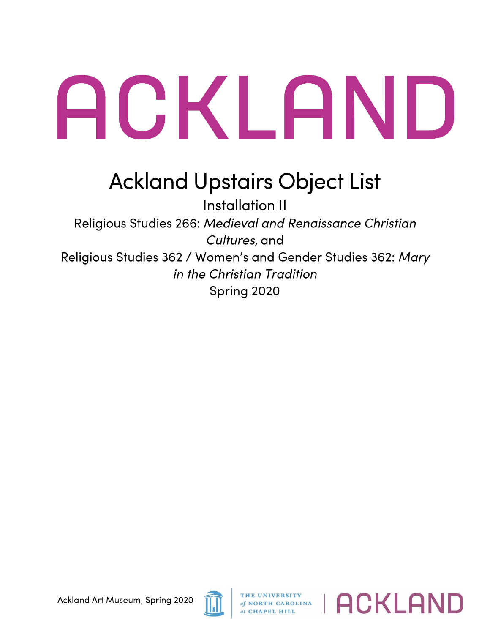## ACKLAND

## **Ackland Upstairs Object List**

Installation II Religious Studies 266: *Medieval and Renaissance Christian Cultures,* and Religious Studies 362 / Women's and Gender Studies 362: Mary *in the Christian Tradition*  Spring 2020



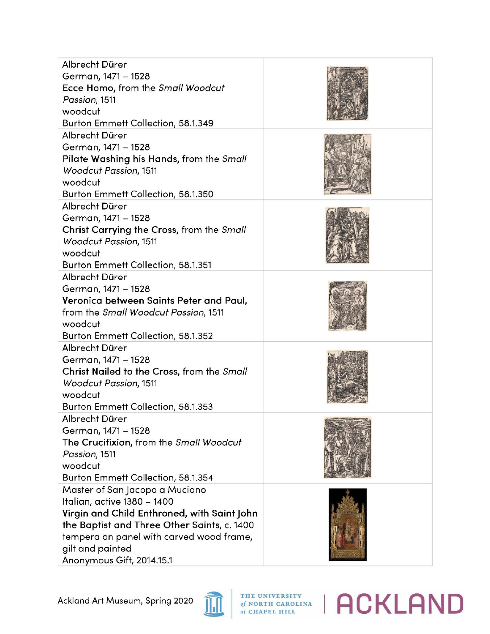| Albrecht Dürer                              |  |
|---------------------------------------------|--|
| German, 1471 - 1528                         |  |
| Ecce Homo, from the Small Woodcut           |  |
| Passion, 1511                               |  |
| woodcut                                     |  |
| Burton Emmett Collection, 58.1.349          |  |
| Albrecht Dürer                              |  |
| German, 1471 - 1528                         |  |
| Pilate Washing his Hands, from the Small    |  |
| <b>Woodcut Passion, 1511</b>                |  |
| woodcut                                     |  |
| Burton Emmett Collection, 58.1.350          |  |
| Albrecht Dürer                              |  |
| German, 1471 - 1528                         |  |
| Christ Carrying the Cross, from the Small   |  |
| Woodcut Passion, 1511                       |  |
| woodcut                                     |  |
| Burton Emmett Collection, 58.1.351          |  |
| Albrecht Dürer                              |  |
| German, 1471 - 1528                         |  |
| Veronica between Saints Peter and Paul,     |  |
| from the Small Woodcut Passion, 1511        |  |
| woodcut                                     |  |
| Burton Emmett Collection, 58.1.352          |  |
| Albrecht Dürer                              |  |
| German, 1471 - 1528                         |  |
| Christ Nailed to the Cross, from the Small  |  |
| <b>Woodcut Passion, 1511</b>                |  |
| woodcut                                     |  |
| Burton Emmett Collection, 58.1.353          |  |
| Albrecht Dürer                              |  |
| German, 1471 - 1528                         |  |
| The Crucifixion, from the Small Woodcut     |  |
| Passion, 1511                               |  |
| woodcut                                     |  |
| Burton Emmett Collection, 58.1.354          |  |
| Master of San Jacopo a Muciano              |  |
| Italian, active 1380 - 1400                 |  |
| Virgin and Child Enthroned, with Saint John |  |
| the Baptist and Three Other Saints, c. 1400 |  |
| tempera on panel with carved wood frame,    |  |
| gilt and painted                            |  |
| Anonymous Gift, 2014.15.1                   |  |



## *A N* **ARPARALISM CAROLINA | ACKLAND**